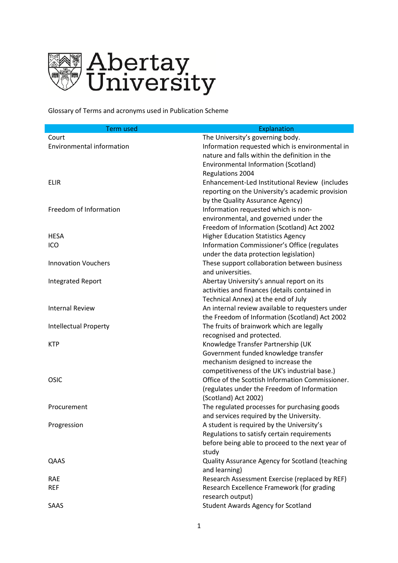

Glossary of Terms and acronyms used in Publication Scheme

| <b>Term used</b>                 | Explanation                                      |
|----------------------------------|--------------------------------------------------|
| Court                            | The University's governing body.                 |
| <b>Environmental information</b> | Information requested which is environmental in  |
|                                  | nature and falls within the definition in the    |
|                                  | <b>Environmental Information (Scotland)</b>      |
|                                  | <b>Regulations 2004</b>                          |
| <b>ELIR</b>                      | Enhancement-Led Institutional Review (includes   |
|                                  | reporting on the University's academic provision |
|                                  | by the Quality Assurance Agency)                 |
| Freedom of Information           | Information requested which is non-              |
|                                  | environmental, and governed under the            |
|                                  | Freedom of Information (Scotland) Act 2002       |
| <b>HESA</b>                      | <b>Higher Education Statistics Agency</b>        |
| ICO                              | Information Commissioner's Office (regulates     |
|                                  | under the data protection legislation)           |
| <b>Innovation Vouchers</b>       | These support collaboration between business     |
|                                  | and universities.                                |
| <b>Integrated Report</b>         | Abertay University's annual report on its        |
|                                  | activities and finances (details contained in    |
|                                  | Technical Annex) at the end of July              |
| <b>Internal Review</b>           | An internal review available to requesters under |
|                                  | the Freedom of Information (Scotland) Act 2002   |
| <b>Intellectual Property</b>     | The fruits of brainwork which are legally        |
|                                  | recognised and protected.                        |
| <b>KTP</b>                       | Knowledge Transfer Partnership (UK               |
|                                  | Government funded knowledge transfer             |
|                                  | mechanism designed to increase the               |
|                                  | competitiveness of the UK's industrial base.)    |
| OSIC                             | Office of the Scottish Information Commissioner. |
|                                  | (regulates under the Freedom of Information      |
|                                  | (Scotland) Act 2002)                             |
| Procurement                      | The regulated processes for purchasing goods     |
|                                  | and services required by the University.         |
| Progression                      | A student is required by the University's        |
|                                  | Regulations to satisfy certain requirements      |
|                                  | before being able to proceed to the next year of |
|                                  | study                                            |
| QAAS                             | Quality Assurance Agency for Scotland (teaching  |
|                                  | and learning)                                    |
| <b>RAE</b>                       | Research Assessment Exercise (replaced by REF)   |
| <b>REF</b>                       | Research Excellence Framework (for grading       |
|                                  | research output)                                 |
| SAAS                             | <b>Student Awards Agency for Scotland</b>        |
|                                  |                                                  |